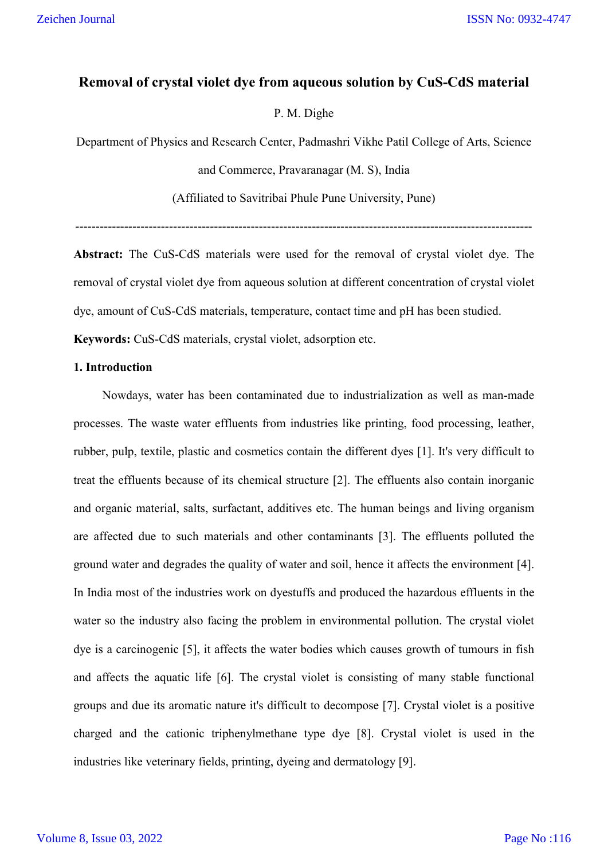# **Removal of crystal violet dye from aqueous solution by CuS-CdS material**

## P. M. Dighe

Department of Physics and Research Center, Padmashri Vikhe Patil College of Arts, Science and Commerce, Pravaranagar (M. S), India (Affiliated to Savitribai Phule Pune University, Pune)

----------------------------------------------------------------------------------------------------------------

**Abstract:** The CuS-CdS materials were used for the removal of crystal violet dye. The removal of crystal violet dye from aqueous solution at different concentration of crystal violet dye, amount of CuS-CdS materials, temperature, contact time and pH has been studied.

**Keywords:** CuS-CdS materials, crystal violet, adsorption etc.

### **1. Introduction**

Nowdays, water has been contaminated due to industrialization as well as man-made processes. The waste water effluents from industries like printing, food processing, leather, rubber, pulp, textile, plastic and cosmetics contain the different dyes [1]. It's very difficult to treat the effluents because of its chemical structure [2]. The effluents also contain inorganic and organic material, salts, surfactant, additives etc. The human beings and living organism are affected due to such materials and other contaminants [3]. The effluents polluted the ground water and degrades the quality of water and soil, hence it affects the environment [4]. In India most of the industries work on dyestuffs and produced the hazardous effluents in the water so the industry also facing the problem in environmental pollution. The crystal violet dye is a carcinogenic [5], it affects the water bodies which causes growth of tumours in fish and affects the aquatic life [6]. The crystal violet is consisting of many stable functional groups and due its aromatic nature it's difficult to decompose [7]. Crystal violet is a positive charged and the cationic triphenylmethane type dye [8]. Crystal violet is used in the industries like veterinary fields, printing, dyeing and dermatology [9].

#### Volume 8, Issue 03, 2022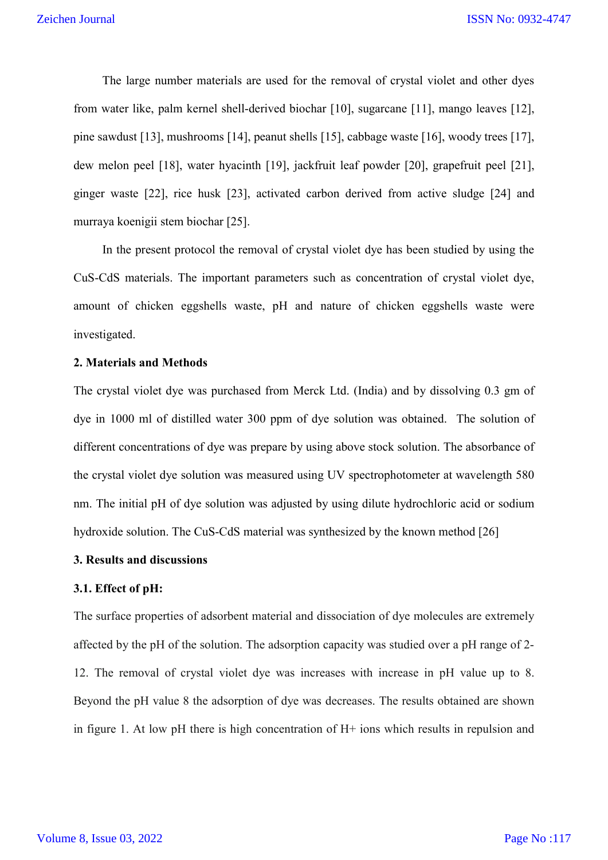The large number materials are used for the removal of crystal violet and other dyes from water like, palm kernel shell-derived biochar [10], sugarcane [11], mango leaves [12], pine sawdust [13], mushrooms [14], peanut shells [15], cabbage waste [16], woody trees [17], dew melon peel [18], water hyacinth [19], jackfruit leaf powder [20], grapefruit peel [21], ginger waste [22], rice husk [23], activated carbon derived from active sludge [24] and murraya koenigii stem biochar [25].

In the present protocol the removal of crystal violet dye has been studied by using the CuS-CdS materials. The important parameters such as concentration of crystal violet dye, amount of chicken eggshells waste, pH and nature of chicken eggshells waste were investigated.

### **2. Materials and Methods**

The crystal violet dye was purchased from Merck Ltd. (India) and by dissolving 0.3 gm of dye in 1000 ml of distilled water 300 ppm of dye solution was obtained. The solution of different concentrations of dye was prepare by using above stock solution. The absorbance of the crystal violet dye solution was measured using UV spectrophotometer at wavelength 580 nm. The initial pH of dye solution was adjusted by using dilute hydrochloric acid or sodium hydroxide solution. The CuS-CdS material was synthesized by the known method [26]

## **3. Results and discussions**

## **3.1. Effect of pH:**

The surface properties of adsorbent material and dissociation of dye molecules are extremely affected by the pH of the solution. The adsorption capacity was studied over a pH range of 2- 12. The removal of crystal violet dye was increases with increase in pH value up to 8. Beyond the pH value 8 the adsorption of dye was decreases. The results obtained are shown in figure 1. At low pH there is high concentration of H+ ions which results in repulsion and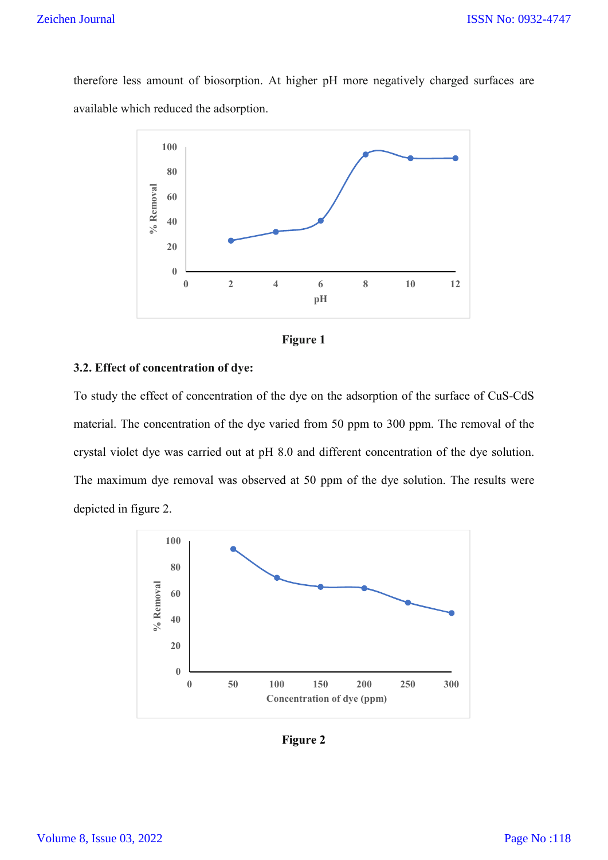## Zeichen Journal

therefore less amount of biosorption. At higher pH more negatively charged surfaces are available which reduced the adsorption.





### **3.2. Effect of concentration of dye:**

To study the effect of concentration of the dye on the adsorption of the surface of CuS-CdS material. The concentration of the dye varied from 50 ppm to 300 ppm. The removal of the crystal violet dye was carried out at pH 8.0 and different concentration of the dye solution. The maximum dye removal was observed at 50 ppm of the dye solution. The results were depicted in figure 2.



**Figure 2**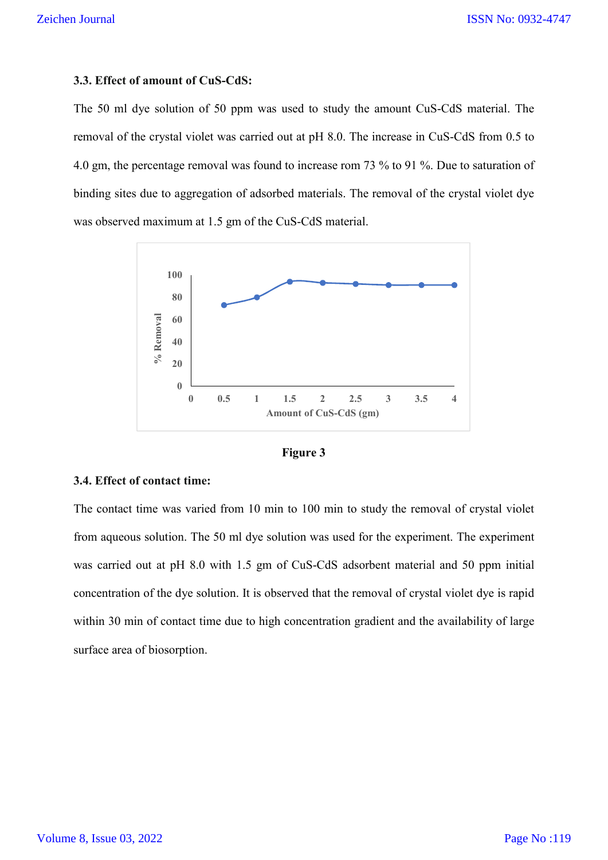#### **3.3. Effect of amount of CuS-CdS:**

The 50 ml dye solution of 50 ppm was used to study the amount CuS-CdS material. The removal of the crystal violet was carried out at pH 8.0. The increase in CuS-CdS from 0.5 to 4.0 gm, the percentage removal was found to increase rom 73 % to 91 %. Due to saturation of binding sites due to aggregation of adsorbed materials. The removal of the crystal violet dye was observed maximum at 1.5 gm of the CuS-CdS material.



**Figure 3**

#### **3.4. Effect of contact time:**

The contact time was varied from 10 min to 100 min to study the removal of crystal violet from aqueous solution. The 50 ml dye solution was used for the experiment. The experiment was carried out at pH 8.0 with 1.5 gm of CuS-CdS adsorbent material and 50 ppm initial concentration of the dye solution. It is observed that the removal of crystal violet dye is rapid within 30 min of contact time due to high concentration gradient and the availability of large surface area of biosorption.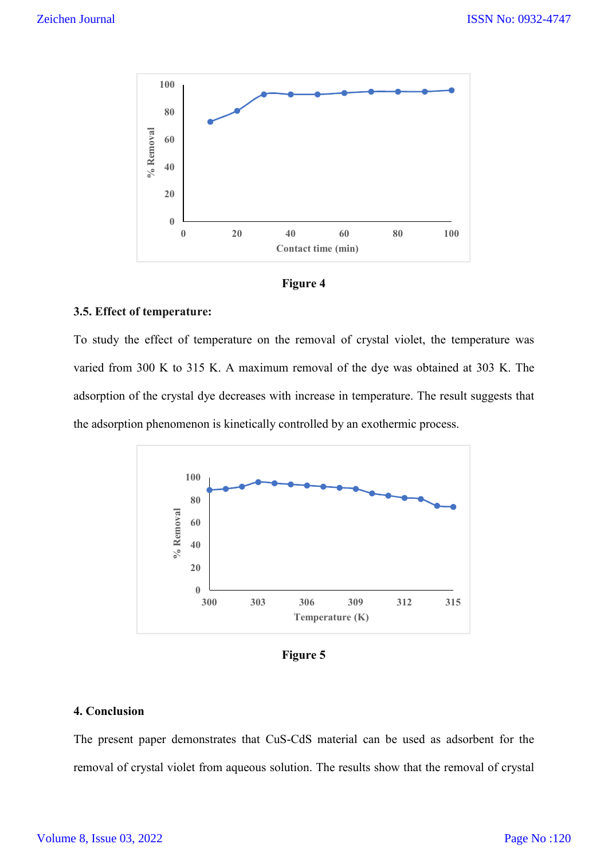



## **3.5. Effect of temperature:**

To study the effect of temperature on the removal of crystal violet, the temperature was varied from 300 K to 315 K. A maximum removal of the dye was obtained at 303 K. The adsorption of the crystal dye decreases with increase in temperature. The result suggests that the adsorption phenomenon is kinetically controlled by an exothermic process.



**Figure 5**

#### **4. Conclusion**

The present paper demonstrates that CuS-CdS material can be used as adsorbent for the removal of crystal violet from aqueous solution. The results show that the removal of crystal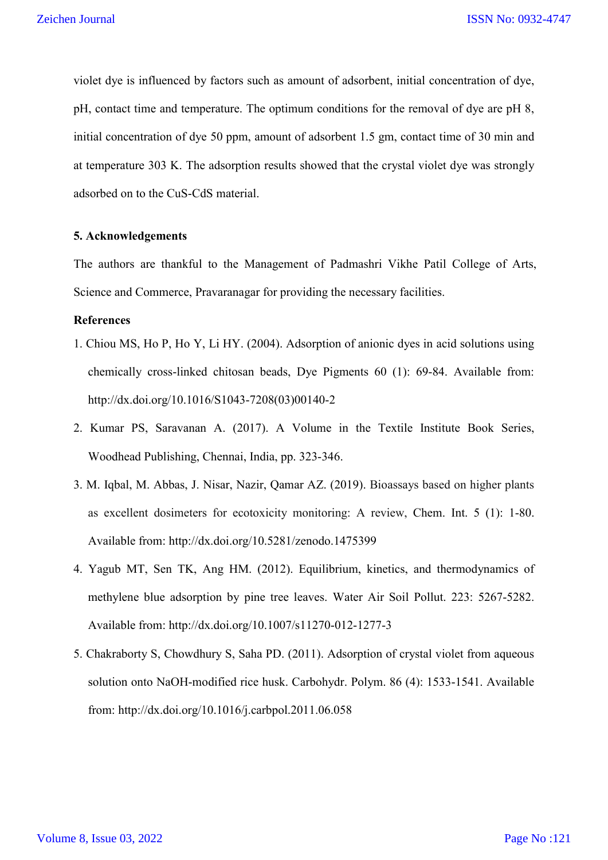violet dye is influenced by factors such as amount of adsorbent, initial concentration of dye, pH, contact time and temperature. The optimum conditions for the removal of dye are pH 8, initial concentration of dye 50 ppm, amount of adsorbent 1.5 gm, contact time of 30 min and at temperature 303 K. The adsorption results showed that the crystal violet dye was strongly adsorbed on to the CuS-CdS material.

#### **5. Acknowledgements**

The authors are thankful to the Management of Padmashri Vikhe Patil College of Arts, Science and Commerce, Pravaranagar for providing the necessary facilities.

#### **References**

- 1. Chiou MS, Ho P, Ho Y, Li HY. (2004). Adsorption of anionic dyes in acid solutions using chemically cross-linked chitosan beads, Dye Pigments 60 (1): 69-84. Available from: http://dx.doi.org/10.1016/S1043-7208(03)00140-2
- 2. Kumar PS, Saravanan A. (2017). A Volume in the Textile Institute Book Series, Woodhead Publishing, Chennai, India, pp. 323-346.
- 3. M. Iqbal, M. Abbas, J. Nisar, Nazir, Qamar AZ. (2019). Bioassays based on higher plants as excellent dosimeters for ecotoxicity monitoring: A review, Chem. Int. 5 (1): 1-80. Available from: http://dx.doi.org/10.5281/zenodo.1475399
- 4. Yagub MT, Sen TK, Ang HM. (2012). Equilibrium, kinetics, and thermodynamics of methylene blue adsorption by pine tree leaves. Water Air Soil Pollut. 223: 5267-5282. Available from: http://dx.doi.org/10.1007/s11270-012-1277-3
- 5. Chakraborty S, Chowdhury S, Saha PD. (2011). Adsorption of crystal violet from aqueous solution onto NaOH-modified rice husk. Carbohydr. Polym. 86 (4): 1533-1541. Available from: http://dx.doi.org/10.1016/j.carbpol.2011.06.058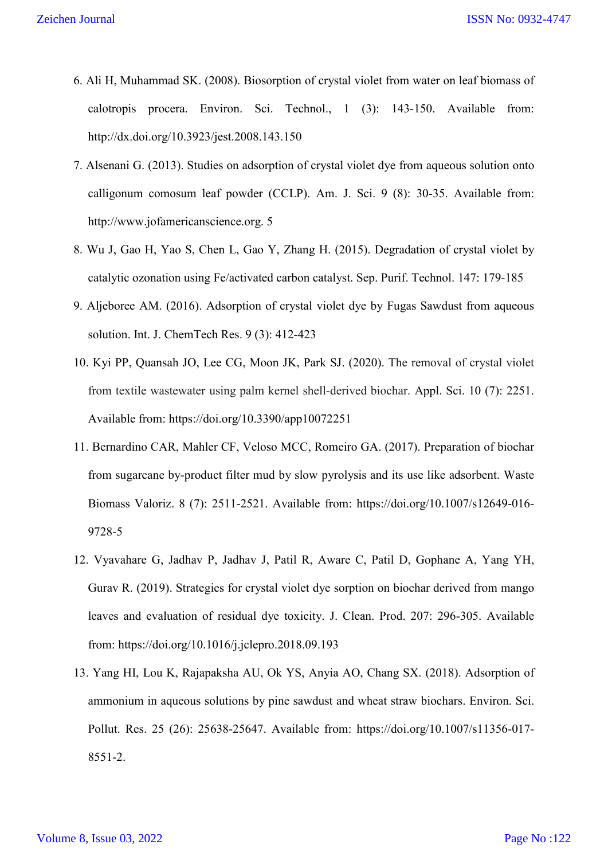- 6. Ali H, Muhammad SK. (2008). Biosorption of crystal violet from water on leaf biomass of calotropis procera. Environ. Sci. Technol., 1 (3): 143-150. Available from: http://dx.doi.org/10.3923/jest.2008.143.150
- 7. Alsenani G. (2013). Studies on adsorption of crystal violet dye from aqueous solution onto calligonum comosum leaf powder (CCLP). Am. J. Sci. 9 (8): 30-35. Available from: http://www.jofamericanscience.org. 5
- 8. Wu J, Gao H, Yao S, Chen L, Gao Y, Zhang H. (2015). Degradation of crystal violet by catalytic ozonation using Fe/activated carbon catalyst. Sep. Purif. Technol. 147: 179-185
- 9. Aljeboree AM. (2016). Adsorption of crystal violet dye by Fugas Sawdust from aqueous solution. Int. J. ChemTech Res. 9 (3): 412-423
- 10. Kyi PP, Quansah JO, Lee CG, Moon JK, Park SJ. (2020). The removal of crystal violet from textile wastewater using palm kernel shell-derived biochar. Appl. Sci. 10 (7): 2251. Available from: https://doi.org/10.3390/app10072251
- 11. Bernardino CAR, Mahler CF, Veloso MCC, Romeiro GA. (2017). Preparation of biochar from sugarcane by-product filter mud by slow pyrolysis and its use like adsorbent. Waste Biomass Valoriz. 8 (7): 2511-2521. Available from: https://doi.org/10.1007/s12649-016- 9728-5
- 12. Vyavahare G, Jadhav P, Jadhav J, Patil R, Aware C, Patil D, Gophane A, Yang YH, Gurav R. (2019). Strategies for crystal violet dye sorption on biochar derived from mango leaves and evaluation of residual dye toxicity. J. Clean. Prod. 207: 296-305. Available from: https://doi.org/10.1016/j.jclepro.2018.09.193
- 13. Yang HI, Lou K, Rajapaksha AU, Ok YS, Anyia AO, Chang SX. (2018). Adsorption of ammonium in aqueous solutions by pine sawdust and wheat straw biochars. Environ. Sci. Pollut. Res. 25 (26): 25638-25647. Available from: https://doi.org/10.1007/s11356-017- 8551-2.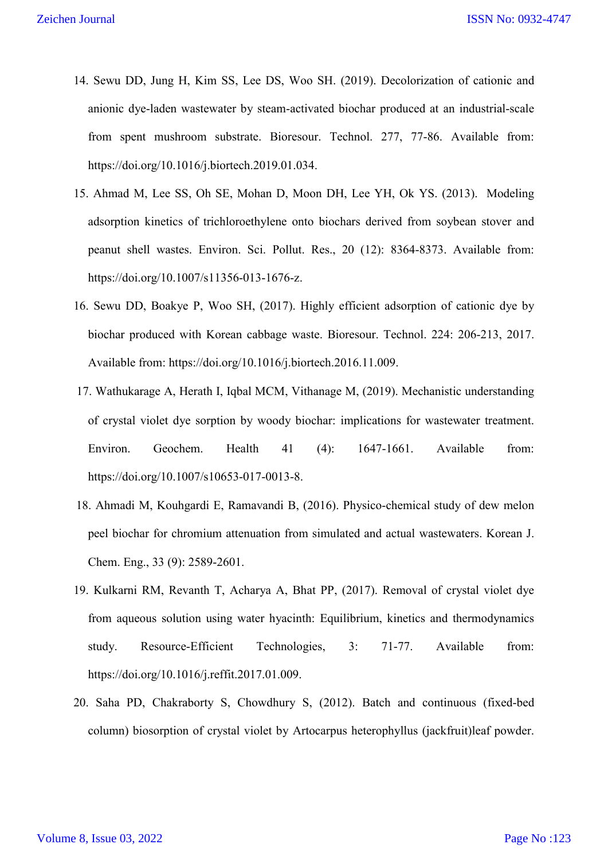- 14. Sewu DD, Jung H, Kim SS, Lee DS, Woo SH. (2019). Decolorization of cationic and anionic dye-laden wastewater by steam-activated biochar produced at an industrial-scale from spent mushroom substrate. Bioresour. Technol. 277, 77-86. Available from: https://doi.org/10.1016/j.biortech.2019.01.034.
- 15. Ahmad M, Lee SS, Oh SE, Mohan D, Moon DH, Lee YH, Ok YS. (2013). Modeling adsorption kinetics of trichloroethylene onto biochars derived from soybean stover and peanut shell wastes. Environ. Sci. Pollut. Res., 20 (12): 8364-8373. Available from: https://doi.org/10.1007/s11356-013-1676-z.
- 16. Sewu DD, Boakye P, Woo SH, (2017). Highly efficient adsorption of cationic dye by biochar produced with Korean cabbage waste. Bioresour. Technol. 224: 206-213, 2017. Available from: https://doi.org/10.1016/j.biortech.2016.11.009.
- 17. Wathukarage A, Herath I, Iqbal MCM, Vithanage M, (2019). Mechanistic understanding of crystal violet dye sorption by woody biochar: implications for wastewater treatment. Environ. Geochem. Health 41 (4): 1647-1661. Available from: https://doi.org/10.1007/s10653-017-0013-8.
- 18. Ahmadi M, Kouhgardi E, Ramavandi B, (2016). Physico-chemical study of dew melon peel biochar for chromium attenuation from simulated and actual wastewaters. Korean J. Chem. Eng., 33 (9): 2589-2601.
- 19. Kulkarni RM, Revanth T, Acharya A, Bhat PP, (2017). Removal of crystal violet dye from aqueous solution using water hyacinth: Equilibrium, kinetics and thermodynamics study. Resource-Efficient Technologies, 3: 71-77. Available from: https://doi.org/10.1016/j.reffit.2017.01.009.
- 20. Saha PD, Chakraborty S, Chowdhury S, (2012). Batch and continuous (fixed-bed column) biosorption of crystal violet by Artocarpus heterophyllus (jackfruit)leaf powder.